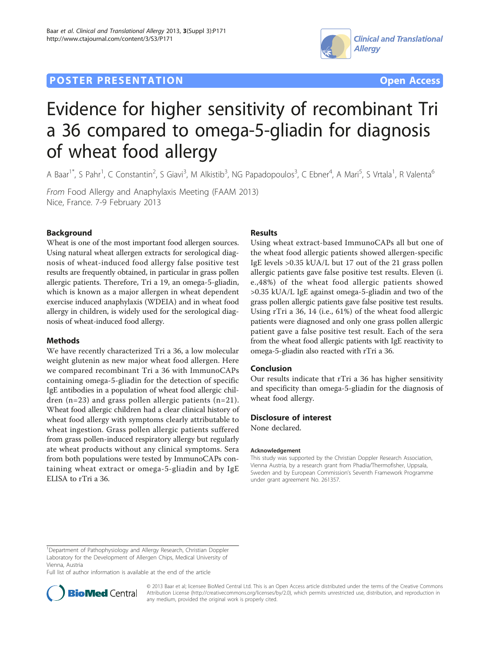## **POSTER PRESENTATION CONSUMING THE SERVICE SERVICE SERVICES**





# Evidence for higher sensitivity of recombinant Tri a 36 compared to omega-5-gliadin for diagnosis of wheat food allergy

A Baar<sup>1\*</sup>, S Pahr<sup>1</sup>, C Constantin<sup>2</sup>, S Giavi<sup>3</sup>, M Alkistib<sup>3</sup>, NG Papadopoulos<sup>3</sup>, C Ebner<sup>4</sup>, A Mari<sup>5</sup>, S Vrtala<sup>1</sup>, R Valenta<sup>6</sup>

From Food Allergy and Anaphylaxis Meeting (FAAM 2013) Nice, France. 7-9 February 2013

## Background

Wheat is one of the most important food allergen sources. Using natural wheat allergen extracts for serological diagnosis of wheat-induced food allergy false positive test results are frequently obtained, in particular in grass pollen allergic patients. Therefore, Tri a 19, an omega-5-gliadin, which is known as a major allergen in wheat dependent exercise induced anaphylaxis (WDEIA) and in wheat food allergy in children, is widely used for the serological diagnosis of wheat-induced food allergy.

## Methods

We have recently characterized Tri a 36, a low molecular weight glutenin as new major wheat food allergen. Here we compared recombinant Tri a 36 with ImmunoCAPs containing omega-5-gliadin for the detection of specific IgE antibodies in a population of wheat food allergic children (n=23) and grass pollen allergic patients (n=21). Wheat food allergic children had a clear clinical history of wheat food allergy with symptoms clearly attributable to wheat ingestion. Grass pollen allergic patients suffered from grass pollen-induced respiratory allergy but regularly ate wheat products without any clinical symptoms. Sera from both populations were tested by ImmunoCAPs containing wheat extract or omega-5-gliadin and by IgE ELISA to rTri a 36.

## **Results**

Using wheat extract-based ImmunoCAPs all but one of the wheat food allergic patients showed allergen-specific IgE levels >0.35 kUA/L but 17 out of the 21 grass pollen allergic patients gave false positive test results. Eleven (i. e.,48%) of the wheat food allergic patients showed >0.35 kUA/L IgE against omega-5-gliadin and two of the grass pollen allergic patients gave false positive test results. Using rTri a 36, 14 (i.e., 61%) of the wheat food allergic patients were diagnosed and only one grass pollen allergic patient gave a false positive test result. Each of the sera from the wheat food allergic patients with IgE reactivity to omega-5-gliadin also reacted with rTri a 36.

## Conclusion

Our results indicate that rTri a 36 has higher sensitivity and specificity than omega-5-gliadin for the diagnosis of wheat food allergy.

## Disclosure of interest

None declared.

#### Acknowledgement

This study was supported by the Christian Doppler Research Association, Vienna Austria, by a research grant from Phadia/Thermofisher, Uppsala, Sweden and by European Commission's Seventh Framework Programme under grant agreement No. 261357.

Full list of author information is available at the end of the article



© 2013 Baar et al; licensee BioMed Central Ltd. This is an Open Access article distributed under the terms of the Creative Commons Attribution License [\(http://creativecommons.org/licenses/by/2.0](http://creativecommons.org/licenses/by/2.0)), which permits unrestricted use, distribution, and reproduction in any medium, provided the original work is properly cited.

<sup>&</sup>lt;sup>1</sup>Department of Pathophysiology and Allergy Research, Christian Doppler Laboratory for the Development of Allergen Chips, Medical University of Vienna, Austria